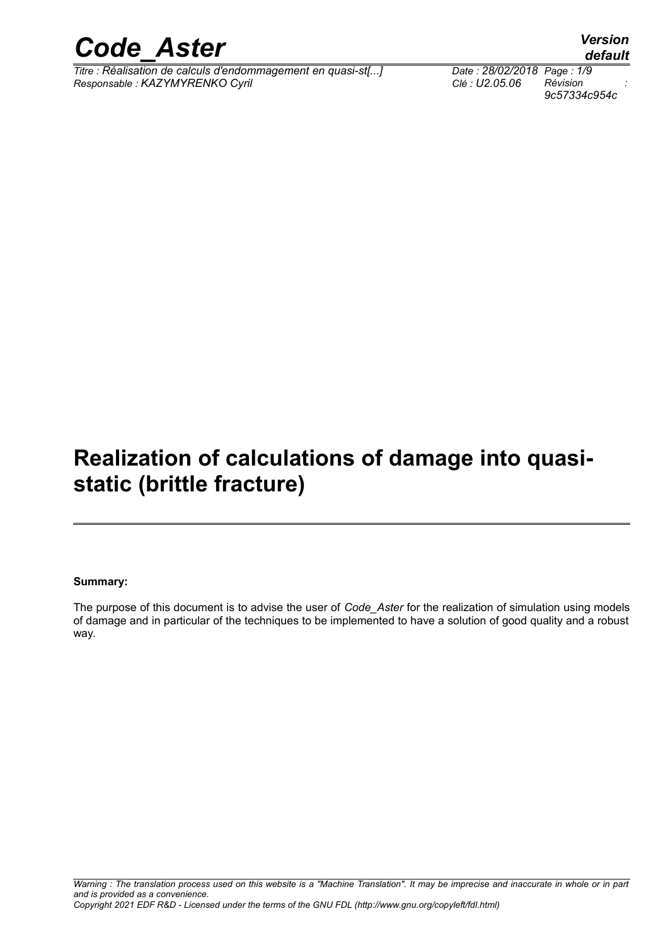

*Titre : Réalisation de calculs d'endommagement en quasi-st[...] Date : 28/02/2018 Page : 1/9 Responsable : KAZYMYRENKO Cyril Clé : U2.05.06 Révision :*

*9c57334c954c*

## **Realization of calculations of damage into quasistatic (brittle fracture)**

#### **Summary:**

The purpose of this document is to advise the user of *Code\_Aster* for the realization of simulation using models of damage and in particular of the techniques to be implemented to have a solution of good quality and a robust way.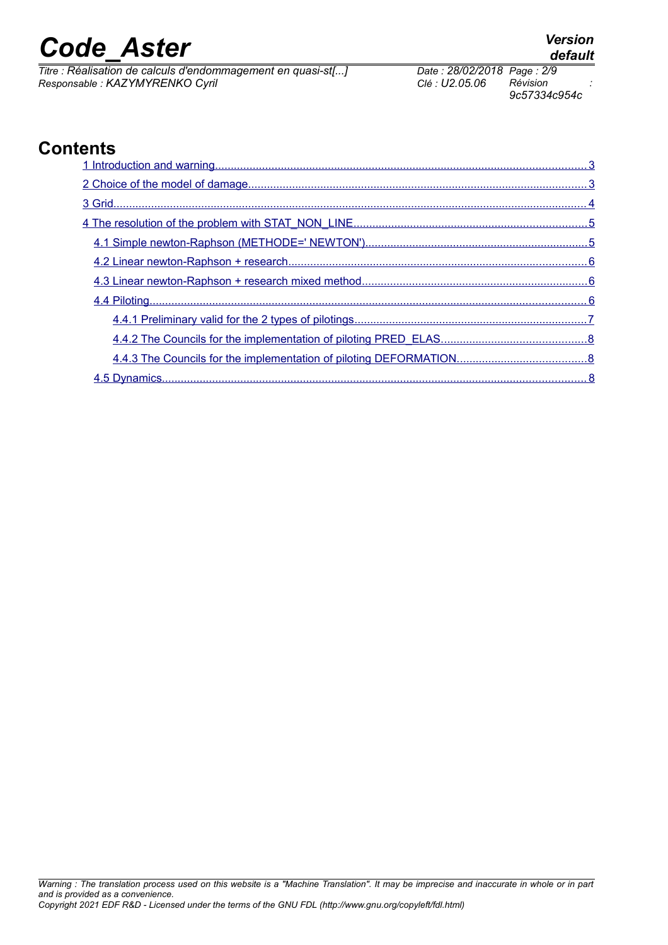*Titre : Réalisation de calculs d'endommagement en quasi-st[...] Date : 28/02/2018 Page : 2/9 Responsable : KAZYMYRENKO Cyril Clé : U2.05.06 Révision :*

*9c57334c954c*

### **Contents**

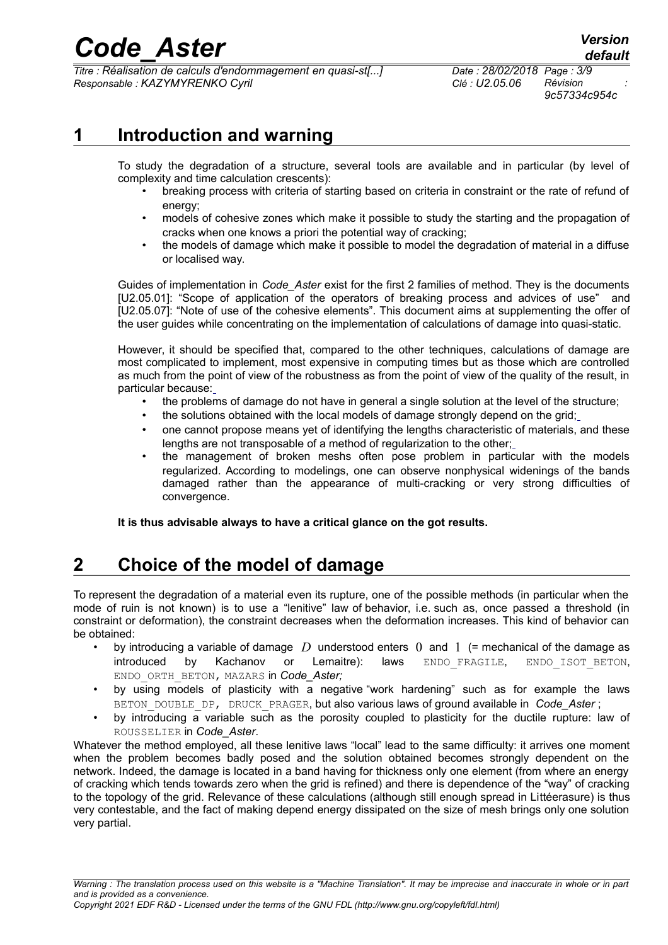*Titre : Réalisation de calculs d'endommagement en quasi-st[...] Date : 28/02/2018 Page : 3/9 Responsable : KAZYMYRENKO Cyril Clé : U2.05.06 Révision :*

*9c57334c954c*

### **1 Introduction and warning**

<span id="page-2-1"></span>To study the degradation of a structure, several tools are available and in particular (by level of complexity and time calculation crescents):

- breaking process with criteria of starting based on criteria in constraint or the rate of refund of energy;
- models of cohesive zones which make it possible to study the starting and the propagation of cracks when one knows a priori the potential way of cracking;
- the models of damage which make it possible to model the degradation of material in a diffuse or localised way.

Guides of implementation in *Code\_Aster* exist for the first 2 families of method. They is the documents [U2.05.01]: "Scope of application of the operators of breaking process and advices of use" [and](http://www.code-aster.org/V2/doc/default/man_u/u2/u2.05.01.pdf) [\[U2.05.07\]: "Note of use of the cohesive elements". This document aims at](http://www.code-aster.org/V2/doc/default/man_u/u2/u2.05.01.pdf) supplementing the offer of [the user guides while concentrating on the implementation of calculations of damage into quasi-static.](http://www.code-aster.org/V2/doc/default/man_u/u2/u2.05.01.pdf) 

[However, it should be specified that, compared to the other techniques, calculations of damage are](http://www.code-aster.org/V2/doc/default/man_u/u2/u2.05.01.pdf) [most complicated to implement, most expensive in computing times but as those which are controlled](http://www.code-aster.org/V2/doc/default/man_u/u2/u2.05.01.pdf) as much from the point of view of the robustness as from the point of view of the quality of the result, in [particular because:](http://www.code-aster.org/V2/doc/default/man_u/u2/u2.05.01.pdf)

- the problems of damage do not have in general a single solution at the level of the structure;
- [the solutions obtained with the local models of damage strongly depend on the grid;](http://www.code-aster.org/V2/doc/default/man_u/u2/u2.05.01.pdf)
- [one cannot propose means yet of identifying the lengths characteristic of materials, and these](http://www.code-aster.org/V2/doc/default/man_u/u2/u2.05.01.pdf) [lengths are not transposable of a method of regularization to the other;](http://www.code-aster.org/V2/doc/default/man_u/u2/u2.05.01.pdf)
- [the management of broken meshs often pose problem in particular with the models](http://www.code-aster.org/V2/doc/default/man_u/u2/u2.05.01.pdf) [regularized. According to modelings, one can observe nonphysical widenings of the bands](http://www.code-aster.org/V2/doc/default/man_u/u2/u2.05.01.pdf) damaged rather than the appearance of multi-cracking or very strong difficulties of [convergence.](http://www.code-aster.org/V2/doc/default/man_u/u2/u2.05.01.pdf)

<span id="page-2-0"></span>**[It is thus advisable always to have a critical glance on the got results.](http://www.code-aster.org/V2/doc/default/man_u/u2/u2.05.01.pdf)** 

### **2 Choice of the model of damage**

To represent the degradation of a material even its rupture, one of the possible methods (in particular when the mode of ruin is not known) is to use a "lenitive" law of behavior, i.e. such as, once passed a threshold (in constraint or deformation), the constraint decreases when the deformation increases. This kind of behavior can be obtained:

- by introducing a variable of damage *D* understood enters 0 and 1 (= mechanical of the damage as introduced by Kachanov or Lemaitre): laws ENDO\_FRAGILE, ENDO\_ISOT\_BETON, ENDO\_ORTH\_BETON, MAZARS in *Code\_Aster;*
- by using models of plasticity with a negative "work hardening" such as for example the laws BETON\_DOUBLE\_DP, DRUCK\_PRAGER, but also various laws of ground available in *Code Aster* ;
- by introducing a variable such as the porosity coupled to plasticity for the ductile rupture: law of ROUSSELIER in *Code\_Aster*.

Whatever the method employed, all these lenitive laws "local" lead to the same difficulty: it arrives one moment when the problem becomes badly posed and the solution obtained becomes strongly dependent on the network. Indeed, the damage is located in a band having for thickness only one element (from where an energy of cracking which tends towards zero when the grid is refined) and there is dependence of the "way" of cracking to the topology of the grid. Relevance of these calculations (although still enough spread in Littéerasure) is thus very contestable, and the fact of making depend energy dissipated on the size of mesh brings only one solution very partial.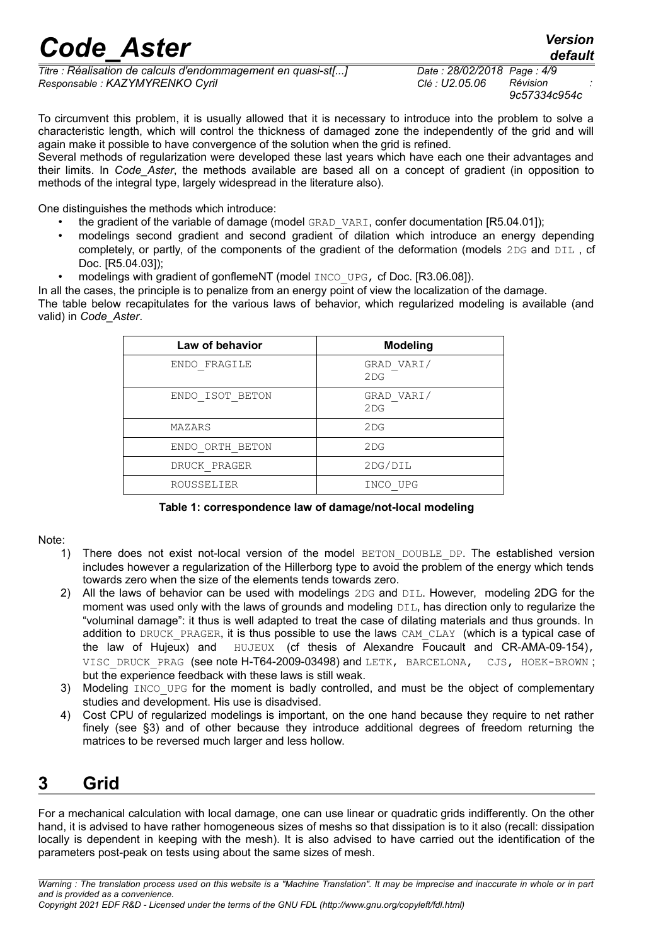*Titre : Réalisation de calculs d'endommagement en quasi-st[...] Date : 28/02/2018 Page : 4/9 Responsable : KAZYMYRENKO Cyril Clé : U2.05.06 Révision :*

*9c57334c954c*

To circumvent this problem, it is usually allowed that it is necessary to introduce into the problem to solve a characteristic length, which will control the thickness of damaged zone the independently of the grid and will again make it possible to have convergence of the solution when the grid is refined.

Several methods of regularization were developed these last years which have each one their advantages and their limits. In *Code\_Aster*, the methods available are based all on a concept of gradient (in opposition to methods of the integral type, largely widespread in the literature also).

One distinguishes the methods which introduce:

- the gradient of the variable of damage (model GRAD VARI, confer documentation [R5.04.01]);
- modelings second gradient and second gradient of dilation which introduce an energy depending completely, or partly, of the components of the gradient of the deformation (models 2DG and DIL , cf Doc. [R5.04.03]);
	- modelings with gradient of gonflemeNT (model INCO UPG, cf Doc. [R3.06.08]).

In all the cases, the principle is to penalize from an energy point of view the localization of the damage. The table below recapitulates for the various laws of behavior, which regularized modeling is available (and valid) in *Code\_Aster*.

| Law of behavior | <b>Modeling</b>   |
|-----------------|-------------------|
| ENDO FRAGILE    | GRAD VARI/<br>2DG |
| ENDO ISOT BETON | GRAD VARI/<br>2DG |
| MAZARS          | 2DG               |
| ENDO ORTH BETON | 2DG               |
| DRUCK PRAGER    | 2DG/DIL           |
| ROUSSELIER      | INCO UPG          |

#### **Table 1: correspondence law of damage/not-local modeling**

#### Note:

- 1) There does not exist not-local version of the model BETON DOUBLE DP. The established version includes however a regularization of the Hillerborg type to avoid the problem of the energy which tends towards zero when the size of the elements tends towards zero.
- 2) All the laws of behavior can be used with modelings 2DG and DIL. However, modeling 2DG for the moment was used only with the laws of grounds and modeling DIL, has direction only to regularize the "voluminal damage": it thus is well adapted to treat the case of dilating materials and thus grounds. In addition to DRUCK PRAGER, it is thus possible to use the laws CAM CLAY (which is a typical case of the law of Hujeux) and  $HUJEUX$  (cf thesis of Alexandre Foucault and CR-AMA-09-154), VISC DRUCK PRAG (see note H-T64-2009-03498) and LETK, BARCELONA, CJS, HOEK-BROWN; but the experience feedback with these laws is still weak.
- 3) Modeling INCO UPG for the moment is badly controlled, and must be the object of complementary studies and development. His use is disadvised.
- 4) Cost CPU of regularized modelings is important, on the one hand because they require to net rather finely (see [§3\)](#page-3-0) and of other because they introduce additional degrees of freedom returning the matrices to be reversed much larger and less hollow.

### <span id="page-3-0"></span>**3 Grid**

For a mechanical calculation with local damage, one can use linear or quadratic grids indifferently. On the other hand, it is advised to have rather homogeneous sizes of meshs so that dissipation is to it also (recall: dissipation locally is dependent in keeping with the mesh). It is also advised to have carried out the identification of the parameters post-peak on tests using about the same sizes of mesh.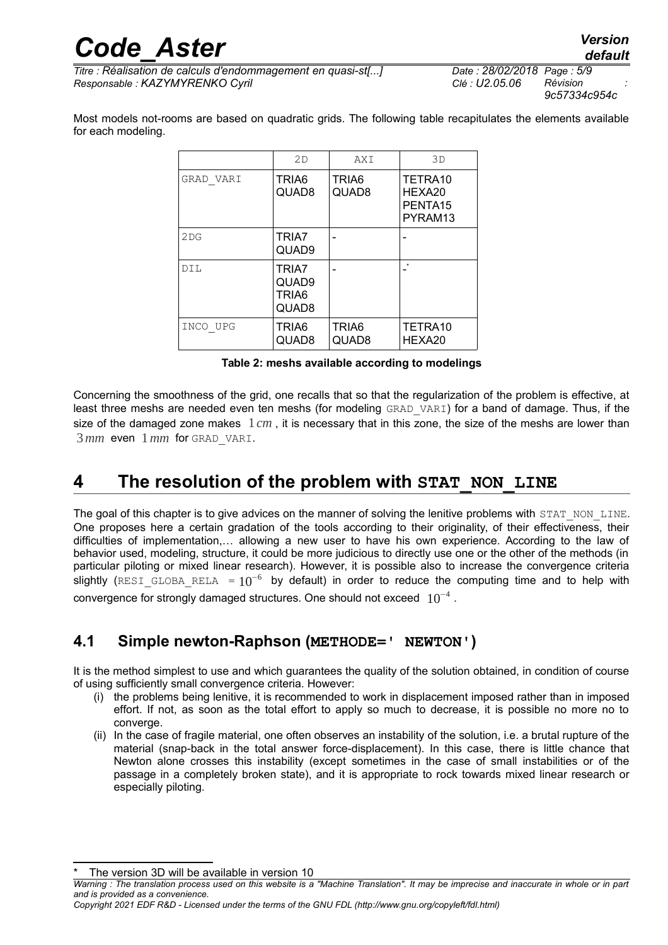*9c57334c954c*

Most models not-rooms are based on quadratic grids. The following table recapitulates the elements available for each modeling.

|           | 2D                                           | AXI            | 3D                                                              |
|-----------|----------------------------------------------|----------------|-----------------------------------------------------------------|
| GRAD VARI | TRIA6<br>QUAD8                               | TRIA6<br>QUAD8 | TETRA10<br>HEXA20<br>PENTA <sub>15</sub><br>PYRAM <sub>13</sub> |
| 2DG       | TRIA7<br>QUAD9                               |                |                                                                 |
| DIL       | TRIA7<br>QUAD9<br>TRIA <sub>6</sub><br>QUAD8 |                | $\star$                                                         |
| INCO UPG  | TRIA6<br>QUAD8                               | TRIA6<br>QUAD8 | TETRA10<br>HEXA20                                               |

**Table 2: meshs available according to modelings**

Concerning the smoothness of the grid, one recalls that so that the regularization of the problem is effective, at least three meshs are needed even ten meshs (for modeling GRAD VARI) for a band of damage. Thus, if the size of the damaged zone makes 1*cm* , it is necessary that in this zone, the size of the meshs are lower than 3*mm* even 1*mm* for GRAD\_VARI.

### <span id="page-4-1"></span>**4 The resolution of the problem with STAT\_NON\_LINE**

The goal of this chapter is to give advices on the manner of solving the lenitive problems with STAT\_NON\_LINE. One proposes here a certain gradation of the tools according to their originality, of their effectiveness, their difficulties of implementation,… allowing a new user to have his own experience. According to the law of behavior used, modeling, structure, it could be more judicious to directly use one or the other of the methods (in particular piloting or mixed linear research). However, it is possible also to increase the convergence criteria slightly (RESI\_GLOBA\_RELA =  $10^{-6}$  by default) in order to reduce the computing time and to help with convergence for strongly damaged structures. One should not exceed  $\;10^{-4}$  .

#### <span id="page-4-0"></span>**4.1 Simple newton-Raphson (METHODE=' NEWTON')**

It is the method simplest to use and which quarantees the quality of the solution obtained, in condition of course of using sufficiently small convergence criteria. However:

- (i) the problems being lenitive, it is recommended to work in displacement imposed rather than in imposed effort. If not, as soon as the total effort to apply so much to decrease, it is possible no more no to converge.
- (ii) In the case of fragile material, one often observes an instability of the solution, i.e. a brutal rupture of the material (snap-back in the total answer force-displacement). In this case, there is little chance that Newton alone crosses this instability (except sometimes in the case of small instabilities or of the passage in a completely broken state), and it is appropriate to rock towards mixed linear research or especially piloting.

<span id="page-4-2"></span>*Warning : The translation process used on this website is a "Machine Translation". It may be imprecise and inaccurate in whole or in part and is provided as a convenience.*

*Copyright 2021 EDF R&D - Licensed under the terms of the GNU FDL (http://www.gnu.org/copyleft/fdl.html)*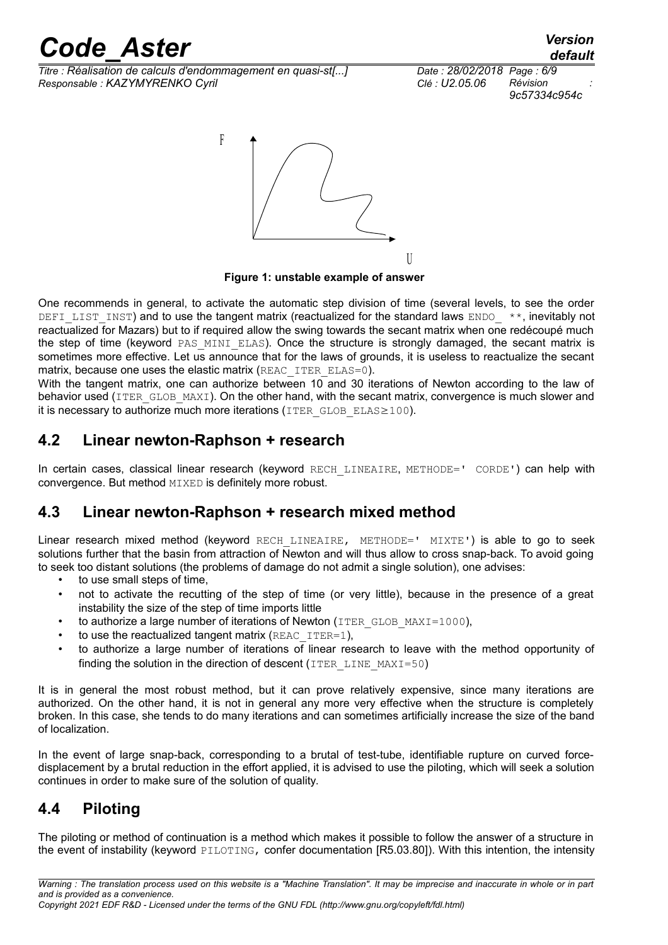*Titre : Réalisation de calculs d'endommagement en quasi-st[...] Date : 28/02/2018 Page : 6/9 Responsable : KAZYMYRENKO Cyril Clé : U2.05.06 Révision :*

*9c57334c954c*



**Figure 1: unstable example of answer**

One recommends in general, to activate the automatic step division of time (several levels, to see the order DEFILIST INST) and to use the tangent matrix (reactualized for the standard laws ENDO  $*$ , inevitably not reactualized for Mazars) but to if required allow the swing towards the secant matrix when one redécoupé much the step of time (keyword PAS MINI ELAS). Once the structure is strongly damaged, the secant matrix is sometimes more effective. Let us announce that for the laws of grounds, it is useless to reactualize the secant matrix, because one uses the elastic matrix (REAC\_ITER\_ELAS=0).

With the tangent matrix, one can authorize between 10 and 30 iterations of Newton according to the law of behavior used (ITER GLOB MAXI). On the other hand, with the secant matrix, convergence is much slower and it is necessary to authorize much more iterations (ITER GLOB ELAS $\geq$ 100).

#### <span id="page-5-2"></span>**4.2 Linear newton-Raphson + research**

In certain cases, classical linear research (keyword RECH\_LINEAIRE, METHODE=' CORDE') can help with convergence. But method MIXED is definitely more robust.

#### <span id="page-5-1"></span>**4.3 Linear newton-Raphson + research mixed method**

Linear research mixed method (keyword RECH LINEAIRE, METHODE=' MIXTE') is able to go to seek solutions further that the basin from attraction of Newton and will thus allow to cross snap-back. To avoid going to seek too distant solutions (the problems of damage do not admit a single solution), one advises:

- to use small steps of time,
- not to activate the recutting of the step of time (or very little), because in the presence of a great instability the size of the step of time imports little
- to authorize a large number of iterations of Newton (ITER GLOB MAXI=1000),
- to use the reactualized tangent matrix  $(REAC_IFER=1)$ .
- to authorize a large number of iterations of linear research to leave with the method opportunity of finding the solution in the direction of descent (ITER LINE MAXI=50)

It is in general the most robust method, but it can prove relatively expensive, since many iterations are authorized. On the other hand, it is not in general any more very effective when the structure is completely broken. In this case, she tends to do many iterations and can sometimes artificially increase the size of the band of localization.

In the event of large snap-back, corresponding to a brutal of test-tube, identifiable rupture on curved forcedisplacement by a brutal reduction in the effort applied, it is advised to use the piloting, which will seek a solution continues in order to make sure of the solution of quality.

### <span id="page-5-0"></span>**4.4 Piloting**

The piloting or method of continuation is a method which makes it possible to follow the answer of a structure in the event of instability (keyword PILOTING, confer documentation [R5.03.80]). With this intention, the intensity

*Copyright 2021 EDF R&D - Licensed under the terms of the GNU FDL (http://www.gnu.org/copyleft/fdl.html)*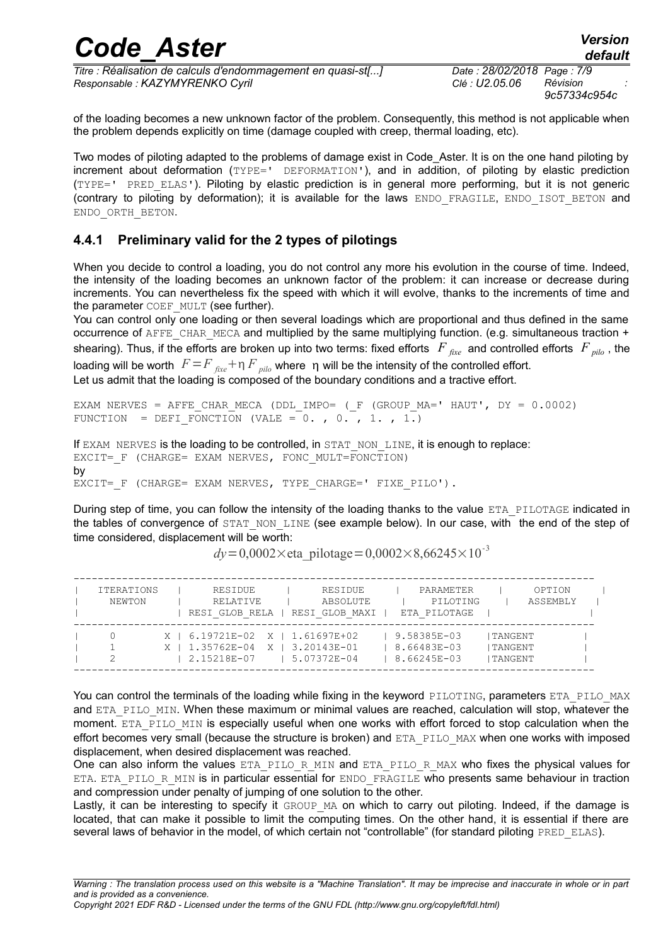| <b>Code Aster</b>                                            |                            | <b>Version</b><br>default |  |  |  |  |
|--------------------------------------------------------------|----------------------------|---------------------------|--|--|--|--|
| Titre : Réalisation de calculs d'endommagement en quasi-st[] | Date: 28/02/2018 Page: 7/9 |                           |  |  |  |  |
| Responsable : KAZYMYRENKO Cyril                              | Clé : U2.05.06             | Révision<br>9c57334c954c  |  |  |  |  |

of the loading becomes a new unknown factor of the problem. Consequently, this method is not applicable when the problem depends explicitly on time (damage coupled with creep, thermal loading, etc).

Two modes of piloting adapted to the problems of damage exist in Code\_Aster. It is on the one hand piloting by increment about deformation (TYPE=' DEFORMATION'), and in addition, of piloting by elastic prediction (TYPE=' PRED\_ELAS'). Piloting by elastic prediction is in general more performing, but it is not generic (contrary to piloting by deformation); it is available for the laws ENDO FRAGILE, ENDO ISOT BETON and ENDO\_ORTH\_BETON.

#### <span id="page-6-0"></span>**4.4.1 Preliminary valid for the 2 types of pilotings**

When you decide to control a loading, you do not control any more his evolution in the course of time. Indeed, the intensity of the loading becomes an unknown factor of the problem: it can increase or decrease during increments. You can nevertheless fix the speed with which it will evolve, thanks to the increments of time and the parameter COEF MULT (see further).

You can control only one loading or then several loadings which are proportional and thus defined in the same occurrence of AFFE\_CHAR\_MECA and multiplied by the same multiplying function. (e.g. simultaneous traction + shearing). Thus, if the efforts are broken up into two terms: fixed efforts *F fixe* and controlled efforts *F pilo* , the loading will be worth  $F = F_{\text{fixed}} + \eta F_{\text{pilo}}$  where  $\eta$  will be the intensity of the controlled effort. Let us admit that the loading is composed of the boundary conditions and a tractive effort.

```
EXAM NERVES = AFFE CHAR MECA (DDL IMPO= (F (GROUP MA=' HAUT', DY = 0.0002)
FUNCTION = DEFI FONCTION (VALE = 0., 0., 1., 1.)
```
If EXAM NERVES is the loading to be controlled, in STAT NON LINE, it is enough to replace: EXCIT= F (CHARGE= EXAM NERVES, FONC MULT=FONCTION) by EXCIT= F (CHARGE= EXAM NERVES, TYPE CHARGE=' FIXE PILO').

During step of time, you can follow the intensity of the loading thanks to the value ETA PILOTAGE indicated in the tables of convergence of STAT\_NON\_LINE (see example below). In our case, with the end of the step of time considered, displacement will be worth:

| <b>ITERATIONS</b><br>NEWTON | RESIDUE<br>RELATIVE<br>RESI GLOB RELA                                             |  | RESIDUE<br>ABSOLUTE<br>RESI GLOB MAXI | PARAMETER<br>PILOTING<br>ETA PILOTAGE     |                                     | OPTION<br>ASSEMBLY |  |
|-----------------------------|-----------------------------------------------------------------------------------|--|---------------------------------------|-------------------------------------------|-------------------------------------|--------------------|--|
|                             | X   6.19721E-02 X   1.61697E+02<br>X   1.35762E-04 X   3.20143E-01<br>2.15218E-07 |  | 5.07372E-04                           | 9.58385E-03<br>8.66483E-03<br>8.66245E-03 | I TANGENT<br>I TANGENT<br>I TANGENT |                    |  |

 $dv = 0.0002 \times$ eta\_pilotage=0,0002×8,66245×10<sup>-3</sup>

You can control the terminals of the loading while fixing in the keyword PILOTING, parameters ETA PILO\_MAX and ETA PILO MIN. When these maximum or minimal values are reached, calculation will stop, whatever the moment. ETA PILO MIN is especially useful when one works with effort forced to stop calculation when the effort becomes very small (because the structure is broken) and ETA\_PILO\_MAX when one works with imposed displacement, when desired displacement was reached.

One can also inform the values ETA\_PILO\_R\_MIN and ETA\_PILO\_R\_MAX who fixes the physical values for ETA. ETA\_PILO\_R\_MIN is in particular essential for ENDO\_FRAGILE who presents same behaviour in traction and compression under penalty of jumping of one solution to the other.

Lastly, it can be interesting to specify it GROUP MA on which to carry out piloting. Indeed, if the damage is located, that can make it possible to limit the computing times. On the other hand, it is essential if there are several laws of behavior in the model, of which certain not "controllable" (for standard piloting PRED\_ELAS).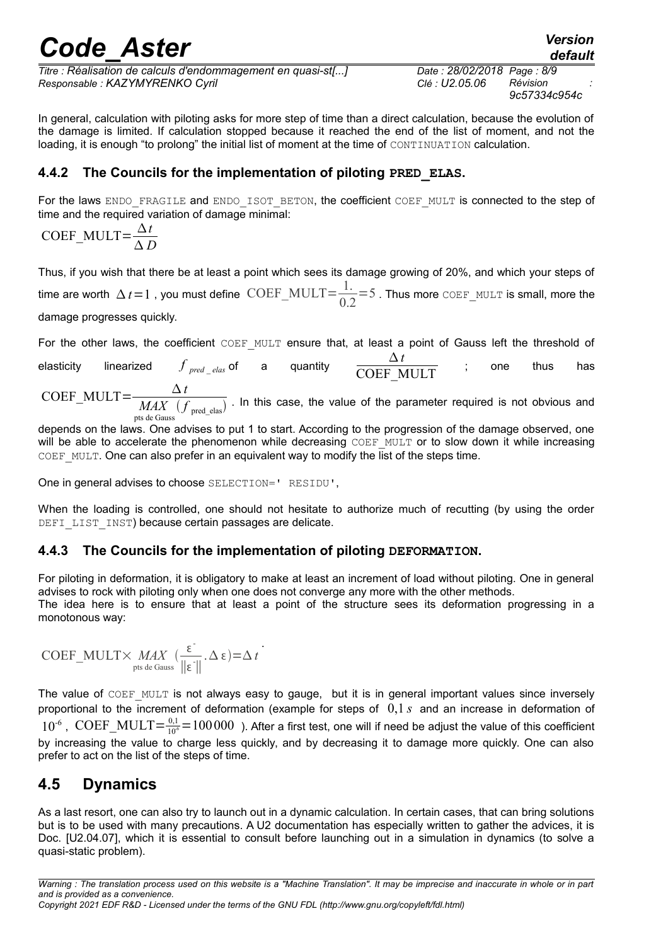*Titre : Réalisation de calculs d'endommagement en quasi-st[...] Date : 28/02/2018 Page : 8/9 Responsable : KAZYMYRENKO Cyril Clé : U2.05.06 Révision :*

*9c57334c954c*

In general, calculation with piloting asks for more step of time than a direct calculation, because the evolution of the damage is limited. If calculation stopped because it reached the end of the list of moment, and not the loading, it is enough "to prolong" the initial list of moment at the time of CONTINUATION calculation.

#### <span id="page-7-2"></span>**4.4.2 The Councils for the implementation of piloting PRED\_ELAS.**

For the laws ENDO\_FRAGILE and ENDO\_ISOT\_BETON, the coefficient COEF\_MULT is connected to the step of time and the required variation of damage minimal:

COEF\_MULT= $\frac{\Delta t}{\Delta t}$ *D*

Thus, if you wish that there be at least a point which sees its damage growing of 20%, and which your steps of time are worth  $\Delta t = 1$  , you must define  $\text{COEF\_MULT} = \frac{1}{24}$ .  $\frac{1}{0.2}$ =5. Thus more COEF\_MULT is small, more the damage progresses quickly.

For the other laws, the coefficient COEF MULT ensure that, at least a point of Gauss left the threshold of

elasticity linearized  $f_{pred$   $elas}$  of a quantity *t*  $\overline{\text{COEF}}$  MULT ; one thus has COEF\_MULT= $\frac{\Delta t}{\Delta t}$ 

 $MAX$   $(f_{\text{pred -elas}})$  . In this case, the value of the parameter required is not obvious and pts de Gauss

depends on the laws. One advises to put 1 to start. According to the progression of the damage observed, one will be able to accelerate the phenomenon while decreasing COEF\_MULT or to slow down it while increasing COEF MULT. One can also prefer in an equivalent way to modify the list of the steps time.

One in general advises to choose SELECTION=' RESIDU',

When the loading is controlled, one should not hesitate to authorize much of recutting (by using the order DEFI\_LIST\_INST) because certain passages are delicate.

#### <span id="page-7-1"></span>**4.4.3 The Councils for the implementation of piloting DEFORMATION.**

For piloting in deformation, it is obligatory to make at least an increment of load without piloting. One in general advises to rock with piloting only when one does not converge any more with the other methods. The idea here is to ensure that at least a point of the structure sees its deformation progressing in a monotonous way:

$$
COEF\_MULT \times MAX \left( \frac{\epsilon}{\|\epsilon\|}, \Delta \epsilon \right) = \Delta t
$$
\n<sub>pts de Gauss</sub> 
$$
\frac{\epsilon}{\|\epsilon\|}, \Delta \epsilon = \Delta t
$$

The value of COEF MULT is not always easy to gauge, but it is in general important values since inversely proportional to the increment of deformation (example for steps of 0,1 *s* and an increase in deformation of  $10^{-6}$ , COEF\_MULT= $\frac{0.1}{10^{6}}$ = 100 000 ). After a first test, one will if need be adjust the value of this coefficient by increasing the value to charge less quickly, and by decreasing it to damage more quickly. One can also prefer to act on the list of the steps of time.

#### <span id="page-7-0"></span>**4.5 Dynamics**

As a last resort, one can also try to launch out in a dynamic calculation. In certain cases, that can bring solutions but is to be used with many precautions. A U2 documentation has especially written to gather the advices, it is Doc. [U2.04.07], which it is essential to consult before launching out in a simulation in dynamics (to solve a quasi-static problem).